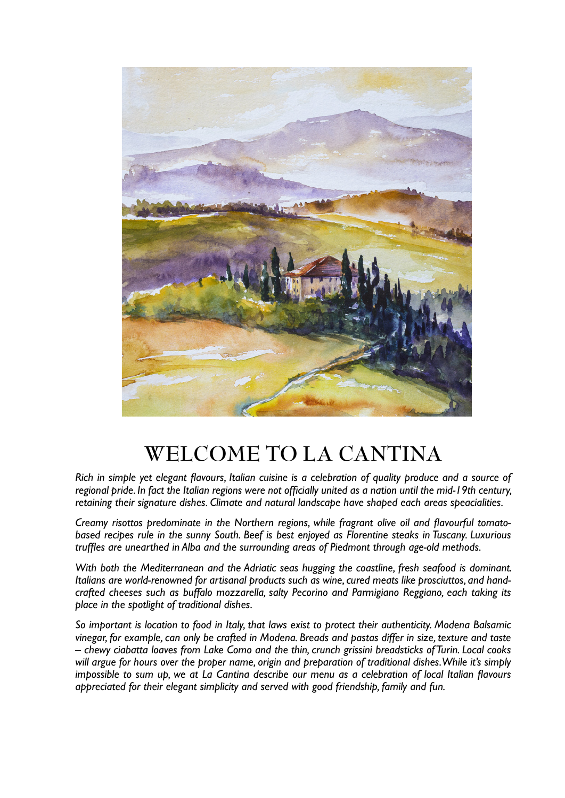

## **WELCOME TO LA CANTINA**

*Rich in simple yet elegant flavours, Italian cuisine is a celebration of quality produce and a source of regional pride. In fact the Italian regions were not officially united as a nation until the mid-19th century, retaining their signature dishes. Climate and natural landscape have shaped each areas speacialities.* 

*Creamy risottos predominate in the Northern regions, while fragrant olive oil and flavourful tomatobased recipes rule in the sunny South. Beef is best enjoyed as Florentine steaks in Tuscany. Luxurious truffles are unearthed in Alba and the surrounding areas of Piedmont through age-old methods.* 

*With both the Mediterranean and the Adriatic seas hugging the coastline, fresh seafood is dominant. Italians are world-renowned for artisanal products such as wine, cured meats like prosciuttos, and handcrafted cheeses such as buffalo mozzarella, salty Pecorino and Parmigiano Reggiano, each taking its place in the spotlight of traditional dishes.* 

*So important is location to food in Italy, that laws exist to protect their authenticity. Modena Balsamic vinegar, for example, can only be crafted in Modena. Breads and pastas differ in size, texture and taste – chewy ciabatta loaves from Lake Como and the thin, crunch grissini breadsticks of Turin. Local cooks will argue for hours over the proper name, origin and preparation of traditional dishes. While it's simply impossible to sum up, we at La Cantina describe our menu as a celebration of local Italian flavours appreciated for their elegant simplicity and served with good friendship, family and fun.*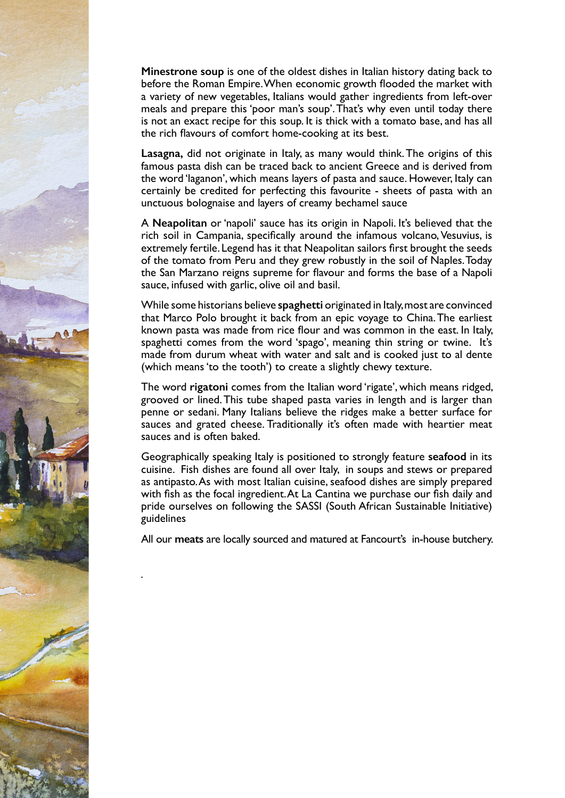**Minestrone soup** is one of the oldest dishes in Italian history dating back to before the Roman Empire. When economic growth flooded the market with a variety of new vegetables, Italians would gather ingredients from left-over meals and prepare this 'poor man's soup'. That's why even until today there is not an exact recipe for this soup. It is thick with a tomato base, and has all the rich flavours of comfort home-cooking at its best.

**Lasagna,** did not originate in Italy, as many would think. The origins of this famous pasta dish can be traced back to ancient Greece and is derived from the word 'laganon', which means layers of pasta and sauce. However, Italy can certainly be credited for perfecting this favourite - sheets of pasta with an unctuous bolognaise and layers of creamy bechamel sauce

A **Neapolitan** or 'napoli' sauce has its origin in Napoli. It's believed that the rich soil in Campania, specifically around the infamous volcano, Vesuvius, is extremely fertile. Legend has it that Neapolitan sailors first brought the seeds of the tomato from Peru and they grew robustly in the soil of Naples. Today the San Marzano reigns supreme for flavour and forms the base of a Napoli sauce, infused with garlic, olive oil and basil.

While some historians believe **spaghetti** originated in Italy, most are convinced that Marco Polo brought it back from an epic voyage to China. The earliest known pasta was made from rice flour and was common in the east. In Italy, spaghetti comes from the word 'spago', meaning thin string or twine. It's made from durum wheat with water and salt and is cooked just to al dente (which means 'to the tooth') to create a slightly chewy texture.

The word **rigatoni** comes from the Italian word 'rigate', which means ridged, grooved or lined. This tube shaped pasta varies in length and is larger than penne or sedani. Many Italians believe the ridges make a better surface for sauces and grated cheese. Traditionally it's often made with heartier meat sauces and is often baked.

Geographically speaking Italy is positioned to strongly feature **seafood** in its cuisine. Fish dishes are found all over Italy, in soups and stews or prepared as antipasto. As with most Italian cuisine, seafood dishes are simply prepared with fish as the focal ingredient. At La Cantina we purchase our fish daily and pride ourselves on following the SASSI (South African Sustainable Initiative) guidelines

All our **meats** are locally sourced and matured at Fancourt's in-house butchery.

*.*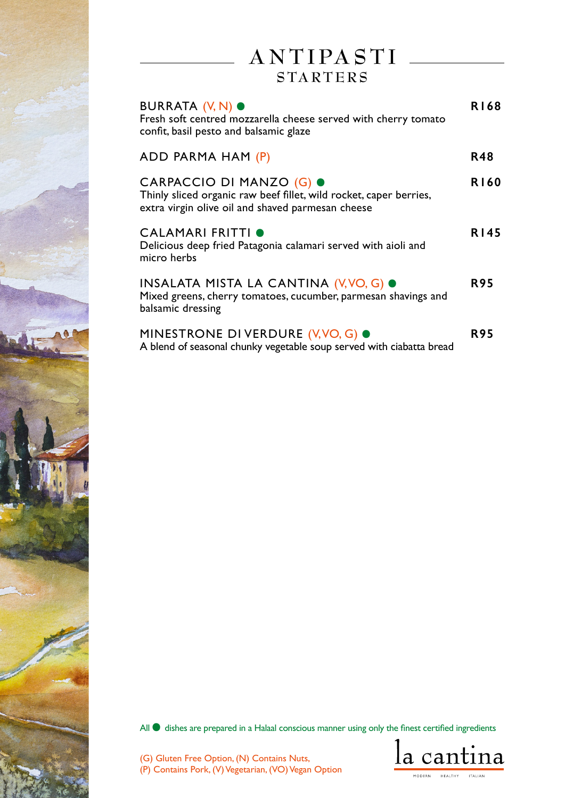# **A N T I PA S T I**

### **S TA RT E R S**

| BURRATA (V, N) ●<br>Fresh soft centred mozzarella cheese served with cherry tomato<br>confit, basil pesto and balsamic glaze                        | R168        |
|-----------------------------------------------------------------------------------------------------------------------------------------------------|-------------|
| ADD PARMA HAM (P)                                                                                                                                   | <b>R48</b>  |
| CARPACCIO DI MANZO (G) ●<br>Thinly sliced organic raw beef fillet, wild rocket, caper berries,<br>extra virgin olive oil and shaved parmesan cheese | <b>R160</b> |
| CALAMARI FRITTI O<br>Delicious deep fried Patagonia calamari served with aioli and<br>micro herbs                                                   | <b>R145</b> |
| INSALATA MISTA LA CANTINA (V, VO, G) O<br>Mixed greens, cherry tomatoes, cucumber, parmesan shavings and<br>balsamic dressing                       | <b>R95</b>  |
| MINESTRONE DI VERDURE (V, VO, G) ●<br>A blend of seasonal chunky vegetable soup served with ciabatta bread                                          | <b>R95</b>  |

All  $\bullet$  dishes are prepared in a Halaal conscious manner using only the finest certified ingredients

(G) Gluten Free Option, (N) Contains Nuts, (P) Contains Pork, (V) Vegetarian, (VO) Vegan Option

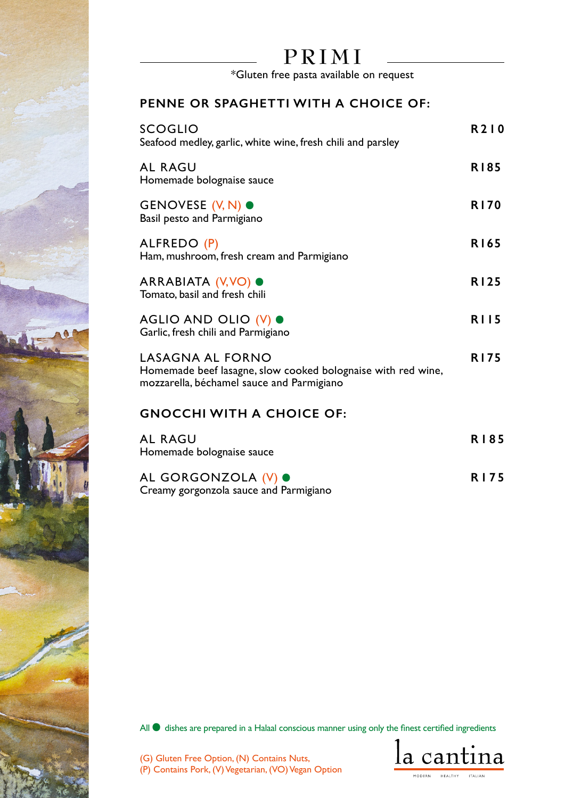# **PRIMI**

\*Gluten free pasta available on request

### **PENNE OR SPAGHETTI WITH A CHOICE OF:**

| <b>SCOGLIO</b><br>Seafood medley, garlic, white wine, fresh chili and parsley                                                        | R210        |
|--------------------------------------------------------------------------------------------------------------------------------------|-------------|
| <b>AL RAGU</b><br>Homemade bolognaise sauce                                                                                          | <b>R185</b> |
| GENOVESE (V, N) ●<br>Basil pesto and Parmigiano                                                                                      | <b>R170</b> |
| ALFREDO (P)<br>Ham, mushroom, fresh cream and Parmigiano                                                                             | R165        |
| ARRABIATA (V, VO) ●<br>Tomato, basil and fresh chili                                                                                 | <b>R125</b> |
| AGLIO AND OLIO (V) ●<br>Garlic, fresh chili and Parmigiano                                                                           | <b>RII5</b> |
| <b>LASAGNA AL FORNO</b><br>Homemade beef lasagne, slow cooked bolognaise with red wine,<br>mozzarella, béchamel sauce and Parmigiano | <b>R175</b> |
| <b>GNOCCHI WITH A CHOICE OF:</b>                                                                                                     |             |
| <b>AL RAGU</b><br>Homemade bolognaise sauce                                                                                          | <b>RI85</b> |
| AL GORGONZOLA (V) .<br>Creamy gorgonzola sauce and Parmigiano                                                                        | <b>RI75</b> |

All  $\bullet$  dishes are prepared in a Halaal conscious manner using only the finest certified ingredients

(G) Gluten Free Option, (N) Contains Nuts,

(P) Contains Pork, (V) Vegetarian, (VO) Vegan Option

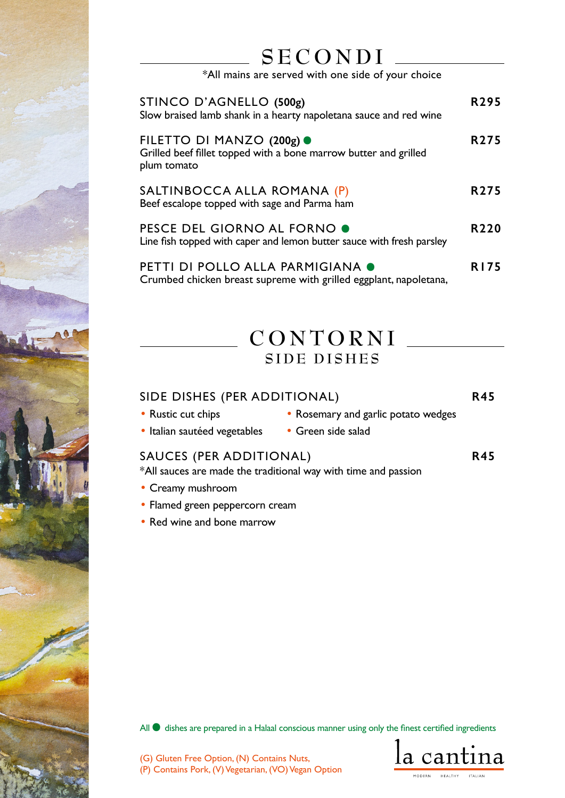# **SECONDI**

\*All mains are served with one side of your choice

| STINCO D'AGNELLO (500g)<br>Slow braised lamb shank in a hearty napoletana sauce and red wine                 | R295             |
|--------------------------------------------------------------------------------------------------------------|------------------|
| FILETTO DI MANZO (200g) ●<br>Grilled beef fillet topped with a bone marrow butter and grilled<br>plum tomato | R <sub>275</sub> |
| SALTINBOCCA ALLA ROMANA (P)<br>Beef escalope topped with sage and Parma ham                                  | R <sub>275</sub> |
| <b>PESCE DEL GIORNO AL FORNO O</b><br>Line fish topped with caper and lemon butter sauce with fresh parsley  | R <sub>220</sub> |
| <b>PETTI DI POLLO ALLA PARMIGIANA O</b><br>Crumbed chicken breast supreme with grilled eggplant, napoletana, | <b>R175</b>      |

### **CONTORNI SIDE DISHES**

### SIDE DISHES (PER ADDITIONAL) **R45**

- Rustic cut chips Rosemary and garlic potato wedges
- Italian sautéed vegetables Green side salad

#### SAUCES (PER ADDITIONAL) **R45**

\*All sauces are made the traditional way with time and passion

- Creamy mushroom
- Flamed green peppercorn cream
- Red wine and bone marrow

All  $\bullet$  dishes are prepared in a Halaal conscious manner using only the finest certified ingredients

la cantina MODERN HEALTHY

(G) Gluten Free Option, (N) Contains Nuts,

(P) Contains Pork, (V) Vegetarian, (VO) Vegan Option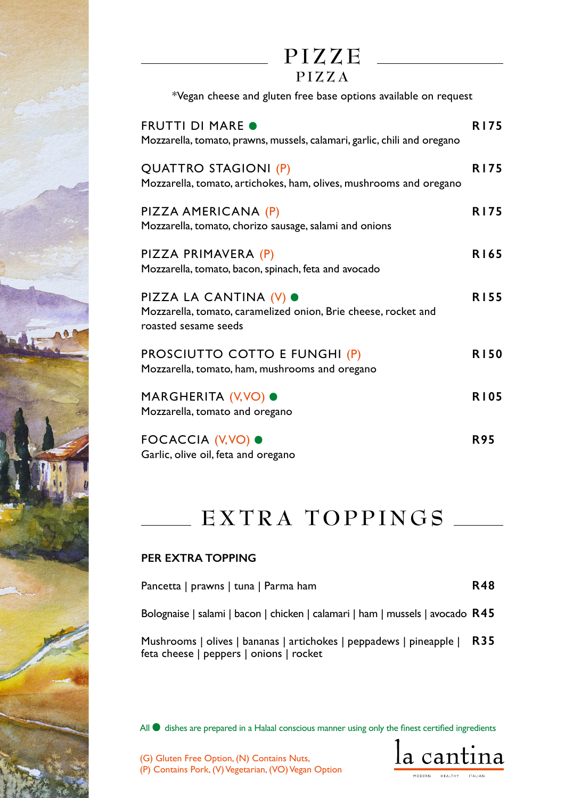| PIZZE |  |  |  |
|-------|--|--|--|
|-------|--|--|--|

| $\sqrt{ }$<br>◡ | D. |  |  |  | V |
|-----------------|----|--|--|--|---|
|-----------------|----|--|--|--|---|

\*Vegan cheese and gluten free base options available on request

| <b>FRUTTI DI MARE O</b><br>Mozzarella, tomato, prawns, mussels, calamari, garlic, chili and oregano              | <b>R175</b> |
|------------------------------------------------------------------------------------------------------------------|-------------|
| QUATTRO STAGIONI (P)<br>Mozzarella, tomato, artichokes, ham, olives, mushrooms and oregano                       | <b>R175</b> |
| PIZZA AMERICANA (P)<br>Mozzarella, tomato, chorizo sausage, salami and onions                                    | <b>R175</b> |
| PIZZA PRIMAVERA (P)<br>Mozzarella, tomato, bacon, spinach, feta and avocado                                      | R165        |
| PIZZA LA CANTINA (V) ●<br>Mozzarella, tomato, caramelized onion, Brie cheese, rocket and<br>roasted sesame seeds | <b>R155</b> |
| PROSCIUTTO COTTO E FUNGHI (P)<br>Mozzarella, tomato, ham, mushrooms and oregano                                  | <b>R150</b> |
| MARGHERITA (V,VO) ●<br>Mozzarella, tomato and oregano                                                            | <b>R105</b> |
| FOCACCIA (V, VO) ●<br>Garlic, olive oil, feta and oregano                                                        | <b>R95</b>  |

## **EXTRA TOPPINGS**

#### **PER EXTRA TOPPING**

| Pancetta   prawns   tuna   Parma ham |  |  | <b>R48</b> |
|--------------------------------------|--|--|------------|
|--------------------------------------|--|--|------------|

Bolognaise | salami | bacon | chicken | calamari | ham | mussels | avocado **R45** 

Mushrooms | olives | bananas | artichokes | peppadews | pineapple | **R35** feta cheese | peppers | onions | rocket

All  $\bullet$  dishes are prepared in a Halaal conscious manner using only the finest certified ingredients



(G) Gluten Free Option, (N) Contains Nuts,

(P) Contains Pork, (V) Vegetarian, (VO) Vegan Option